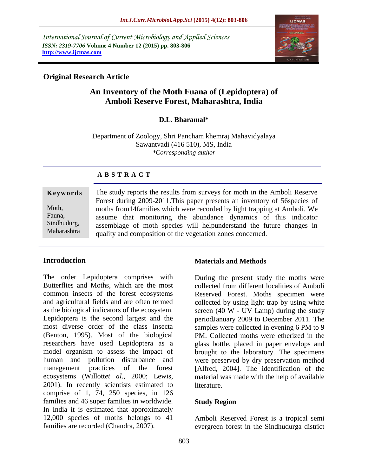*International Journal of Current Microbiology and Applied Sciences ISSN: 2319-7706* **Volume 4 Number 12 (2015) pp. 803-806 http://www.ijcmas.com**



## **Original Research Article**

# **An Inventory of the Moth Fuana of (Lepidoptera) of Amboli Reserve Forest, Maharashtra, India**

## **D.L. Bharamal\***

Department of Zoology, Shri Pancham khemraj Mahavidyalaya Sawantvadi (416 510), MS, India *\*Corresponding author*

## **A B S T R A C T**

**K e y w o r d s** Moth, Fauna, Sindhudurg,

Maharashtra

The study reports the results from surveys for moth in the Amboli Reserve Forest during 2009-2011.This paper presents an inventory of 56species of moths from14families which were recorded by light trapping at Amboli. We assume that monitoring the abundance dynamics of this indicator assemblage of moth species will helpunderstand the future changes in quality and composition of the vegetation zones concerned.

## **Introduction**

The order Lepidoptera comprises with Butterflies and Moths, which are the most common insects of the forest ecosystems and agricultural fields and are often termed as the biological indicators of the ecosystem. Lepidoptera is the second largest and the most diverse order of the class Insecta (Benton, 1995). Most of the biological researchers have used Lepidoptera as a model organism to assess the impact of human and pollution disturbance and management practices of the forest ecosystems (Willott*et al*., 2000; Lewis, 2001). In recently scientists estimated to comprise of 1, 74, 250 species, in 126 families and 46 super families in worldwide. In India it is estimated that approximately 12,000 species of moths belongs to 41 families are recorded (Chandra, 2007).

#### **Materials and Methods**

During the present study the moths were collected from different localities of Amboli Reserved Forest. Moths specimen were collected by using light trap by using white screen (40 W - UV Lamp) during the study periodJanuary 2009 to December 2011. The samples were collected in evening 6 PM to 9 PM. Collected moths were etherized in the glass bottle, placed in paper envelops and brought to the laboratory. The specimens were preserved by dry preservation method [Alfred, 2004]. The identification of the material was made with the help of available literature.

#### **Study Region**

Amboli Reserved Forest is a tropical semi evergreen forest in the Sindhudurga district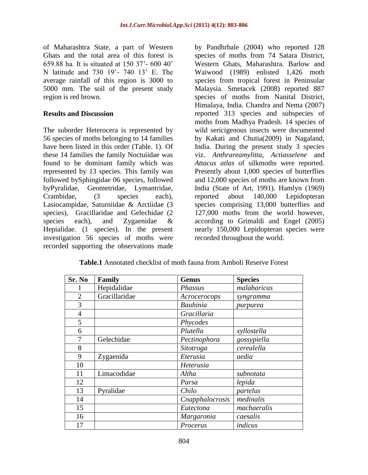of Maharashtra State, a part of Western Ghats and the total area of this forest is 659.88 ha. It is situated at 150 37'- 600 40' N latitude and 730 19'- 740 13' E. The average rainfall of this region is 3000 to 5000 mm. The soil of the present study region is red brown.

#### **Results and Discussion**

The suborder Heterocera is represented by 56 species of moths belonging to 14 families have been listed in this order (Table. 1). Of these 14 families the family Noctuiidae was found to be dominant family which was represented by 13 species. This family was followed bySphingidae 06 species, followed byPyralidae, Geometridae, Lymantridae, Crambidae, (3 species each), Lasiocampidae, Saturniidae & Arctiidae (3 species), Gracillaridae and Gelechidae (2 species each), and Zygaenidae & Hepialidae. (1 species). In the present investigation 56 species of moths were recorded supporting the observations made

by Pandhrbale (2004) who reported 128 species of moths from 74 Satara District, Western Ghats, Maharashtra. Barlow and Waiwood (1989) enlisted 1,426 moth species from tropical forest in Peninsular Malaysia. Smetacek (2008) reported 887 species of moths from Nanital District, Himalaya, India. Chandra and Nema (2007) reported 313 species and subspecies of moths from Madhya Pradesh. 14 species of wild sericigenous insects were documented by Kakati and Chutia(2009) in Nagaland, India. During the present study 3 species viz. *Anthrareamylitta*, *Actiasselene* and *Attacus atlas* of silkmoths were reported. Presently about 1,000 species of butterflies and 12,000 species of moths are known from India (State of Art, 1991). Hamlyn (1969) reported about 140,000 Lepidopteran species comprising 13,000 butterflies and 127,000 moths from the world however, according to Grimaldi and Engel (2005) nearly 150,000 Lepidopteran species were recorded throughout the world.

| Sr. No         | Family        | <b>Genus</b>    | <b>Species</b> |
|----------------|---------------|-----------------|----------------|
|                | Hepidalidae   | Phassus         | malabaricus    |
| $\overline{2}$ | Gracillaridae | Acrocerocops    | syngramma      |
| 3              |               | <b>Bauhinia</b> | purpurea       |
| $\overline{4}$ |               | Gracillaria     |                |
| 5              |               | Phycodes        |                |
| 6              |               | Plutella        | xyllostella    |
| 7              | Gelechidae    | Pectinophora    | gossypiella    |
| 8              |               | Sitotroga       | cerealella     |
| 9              | Zygaenida     | Eterusia        | aedia          |
| 10             |               | Heterusia       |                |
| 11             | Limacodidae   | Altha           | subnotata      |
| 12             |               | Parsa           | lepida         |
| 13             | Pyralidae     | Chilo           | partelus       |
| 14             |               | Cnapphalocrosis | medinalis      |
| 15             |               | Eutectona       | machaeralis    |
| 16             |               | Margaronia      | caesalis       |
| 17             |               | Procerus        | indicus        |

**Table.1** Annotated checklist of moth fauna from Amboli Reserve Forest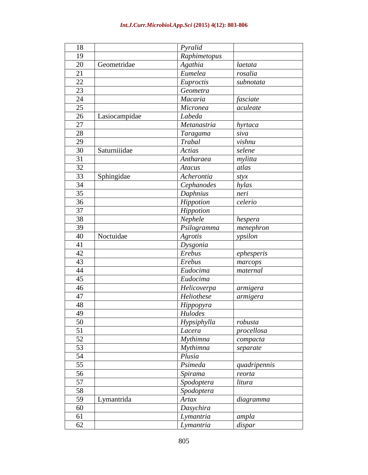## *Int.J.Curr.Microbiol.App.Sci* **(2015) 4(12): 803-806**

| 18 |               | Pyralid        |              |
|----|---------------|----------------|--------------|
| 19 |               | Raphimetopus   |              |
| 20 | Geometridae   | Agathia        | laetata      |
| 21 |               | Eumelea        | rosalia      |
| 22 |               | Euproctis      | subnotata    |
| 23 |               | Geometra       |              |
| 24 |               | Macaria        | fasciate     |
| 25 |               | Micronea       | aculeate     |
| 26 | Lasiocampidae | Labeda         |              |
| 27 |               | Metanastria    | hyrtaca      |
| 28 |               | Taragama       | siva         |
| 29 |               | Trabal         | vishnu       |
| 30 | Saturniiidae  | Actias         | selene       |
| 31 |               | Antharaea      | mylitta      |
| 32 |               | <b>Atacus</b>  | atlas        |
| 33 | Sphingidae    | Acherontia     | styx         |
| 34 |               | Cephanodes     | hylas        |
| 35 |               | Daphnius       | neri         |
| 36 |               | Hippotion      | celerio      |
| 37 |               | Hippotion      |              |
| 38 |               | Nephele        | hespera      |
| 39 |               | Psilogramma    | menephron    |
| 40 | Noctuidae     | Agrotis        | ypsilon      |
| 41 |               | Dysgonia       |              |
| 42 |               | Erebus         | ephesperis   |
| 43 |               | Erebus         | marcops      |
| 44 |               | Eudocima       | maternal     |
| 45 |               | Eudocima       |              |
| 46 |               | Helicoverpa    | armigera     |
| 47 |               | Heliothese     | armigera     |
| 48 |               | Hippopyra      |              |
| 49 |               | <b>Hulodes</b> |              |
| 50 |               | Hypsiphylla    | robusta      |
| 51 |               | Lacera         | procellosa   |
| 52 |               | Mythimna       | compacta     |
| 53 |               | Mythimna       | separate     |
| 54 |               | Plusia         |              |
| 55 |               | Psimeda        | quadripennis |
| 56 |               | Spirama        | reorta       |
| 57 |               | Spodoptera     | litura       |
| 58 |               | Spodoptera     |              |
| 59 | Lymantrida    | <b>Artax</b>   | diagramma    |
| 60 |               | Dasychira      |              |
| 61 |               | Lymantria      | ampla        |
| 62 |               | Lymantria      | dispar       |